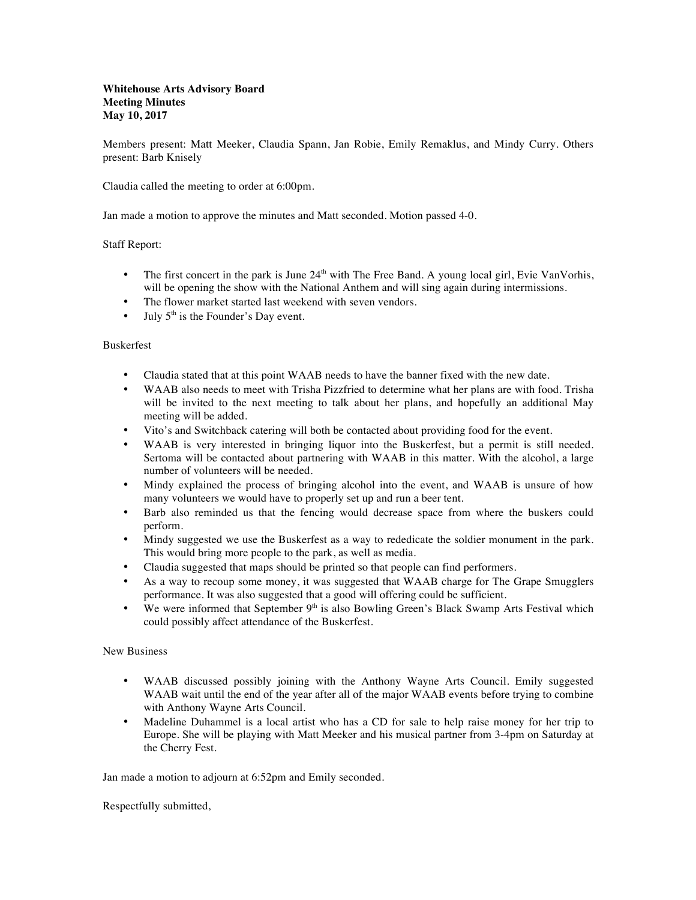## **Whitehouse Arts Advisory Board Meeting Minutes May 10, 2017**

Members present: Matt Meeker, Claudia Spann, Jan Robie, Emily Remaklus, and Mindy Curry. Others present: Barb Knisely

Claudia called the meeting to order at 6:00pm.

Jan made a motion to approve the minutes and Matt seconded. Motion passed 4-0.

## Staff Report:

- The first concert in the park is June  $24<sup>th</sup>$  with The Free Band. A young local girl, Evie VanVorhis, will be opening the show with the National Anthem and will sing again during intermissions.
- The flower market started last weekend with seven vendors.
- July  $5<sup>th</sup>$  is the Founder's Day event.

## Buskerfest

- Claudia stated that at this point WAAB needs to have the banner fixed with the new date.
- WAAB also needs to meet with Trisha Pizzfried to determine what her plans are with food. Trisha will be invited to the next meeting to talk about her plans, and hopefully an additional May meeting will be added.
- Vito's and Switchback catering will both be contacted about providing food for the event.
- WAAB is very interested in bringing liquor into the Buskerfest, but a permit is still needed. Sertoma will be contacted about partnering with WAAB in this matter. With the alcohol, a large number of volunteers will be needed.
- Mindy explained the process of bringing alcohol into the event, and WAAB is unsure of how many volunteers we would have to properly set up and run a beer tent.
- Barb also reminded us that the fencing would decrease space from where the buskers could perform.
- Mindy suggested we use the Buskerfest as a way to rededicate the soldier monument in the park. This would bring more people to the park, as well as media.
- Claudia suggested that maps should be printed so that people can find performers.
- As a way to recoup some money, it was suggested that WAAB charge for The Grape Smugglers performance. It was also suggested that a good will offering could be sufficient.
- We were informed that September  $9<sup>th</sup>$  is also Bowling Green's Black Swamp Arts Festival which could possibly affect attendance of the Buskerfest.

## New Business

- WAAB discussed possibly joining with the Anthony Wayne Arts Council. Emily suggested WAAB wait until the end of the year after all of the major WAAB events before trying to combine with Anthony Wayne Arts Council.
- Madeline Duhammel is a local artist who has a CD for sale to help raise money for her trip to Europe. She will be playing with Matt Meeker and his musical partner from 3-4pm on Saturday at the Cherry Fest.

Jan made a motion to adjourn at 6:52pm and Emily seconded.

Respectfully submitted,